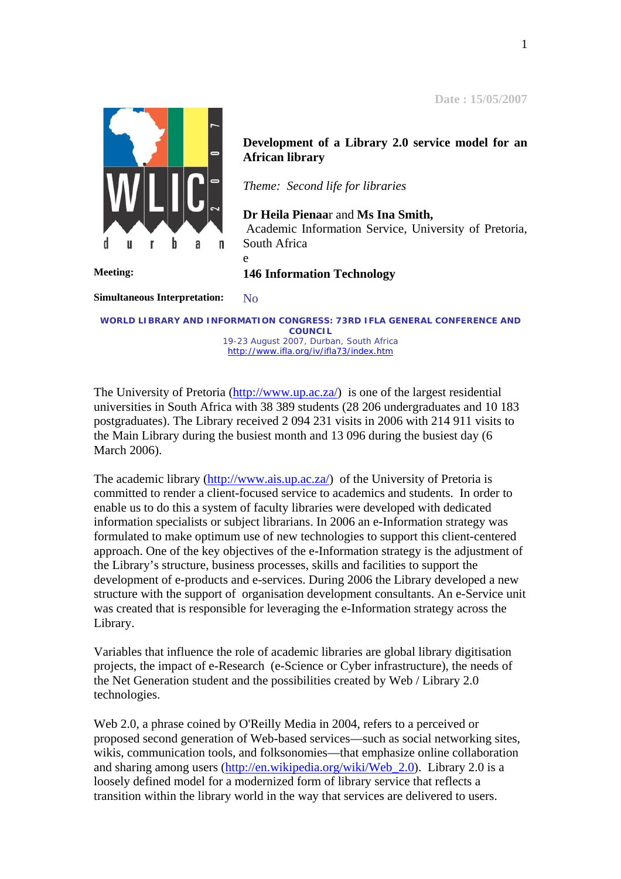**Date : 15/05/2007**



**Development of a Library 2.0 service model for an African library** 

*Theme: Second life for libraries* 

**Dr Heila Pienaa**r and **Ms Ina Smith,**  Academic Information Service, University of Pretoria, South Africa

**Meeting: 146 Information Technology**

e

**Simultaneous Interpretation:** No

*WORLD LIBRARY AND INFORMATION CONGRESS: 73RD IFLA GENERAL CONFERENCE AND COUNCIL 19-23 August 2007, Durban, South Africa*  <http://www.ifla.org/iv/ifla73/index.htm>

The University of Pretoria [\(http://www.up.ac.za/\)](http://www.up.ac.za/) is one of the largest residential universities in South Africa with 38 389 students (28 206 undergraduates and 10 183 postgraduates). The Library received 2 094 231 visits in 2006 with 214 911 visits to the Main Library during the busiest month and 13 096 during the busiest day (6 March 2006).

The academic library ([http://www.ais.up.ac.za/\)](http://www.ais.up.ac.za/) of the University of Pretoria is committed to render a client-focused service to academics and students. In order to enable us to do this a system of faculty libraries were developed with dedicated information specialists or subject librarians. In 2006 an e-Information strategy was formulated to make optimum use of new technologies to support this client-centered approach. One of the key objectives of the e-Information strategy is the adjustment of the Library's structure, business processes, skills and facilities to support the development of e-products and e-services. During 2006 the Library developed a new structure with the support of organisation development consultants. An e-Service unit was created that is responsible for leveraging the e-Information strategy across the Library.

Variables that influence the role of academic libraries are global library digitisation projects, the impact of e-Research (e-Science or Cyber infrastructure), the needs of the Net Generation student and the possibilities created by Web / Library 2.0 technologies.

Web 2.0, a phrase coined by O'Reilly Media in 2004, refers to a perceived or proposed second generation of Web-based services—such as social networking sites, wikis, communication tools, and folksonomies—that emphasize online collaboration and sharing among users ([http://en.wikipedia.org/wiki/Web\\_2.0\)](http://en.wikipedia.org/wiki/Web_2.0). Library 2.0 is a loosely defined model for a modernized form of library service that reflects a transition within the library world in the way that services are delivered to users.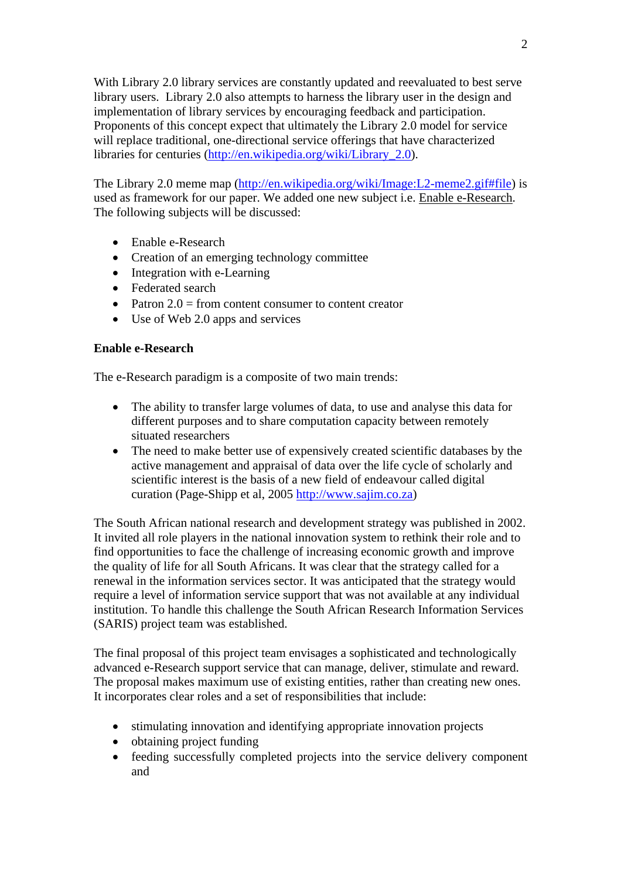With Library 2.0 library services are constantly updated and reevaluated to best serve library users. Library 2.0 also attempts to harness the library user in the design and implementation of library services by encouraging feedback and participation. Proponents of this concept expect that ultimately the Library 2.0 model for service will replace traditional, one-directional service offerings that have characterized libraries for centuries [\(http://en.wikipedia.org/wiki/Library\\_2.0\)](http://en.wikipedia.org/wiki/Library_2.0).

The Library 2.0 meme map [\(http://en.wikipedia.org/wiki/Image:L2-meme2.gif#file](http://en.wikipedia.org/wiki/Image:L2-meme2.gif#file)) is used as framework for our paper. We added one new subject i.e. Enable e-Research. The following subjects will be discussed:

- Enable e-Research
- Creation of an emerging technology committee
- Integration with e-Learning
- Federated search
- Patron  $2.0$  = from content consumer to content creator
- Use of Web 2.0 apps and services

#### **Enable e-Research**

The e-Research paradigm is a composite of two main trends:

- The ability to transfer large volumes of data, to use and analyse this data for different purposes and to share computation capacity between remotely situated researchers
- The need to make better use of expensively created scientific databases by the active management and appraisal of data over the life cycle of scholarly and scientific interest is the basis of a new field of endeavour called digital curation (Page-Shipp et al, 2005 [http://www.sajim.co.za](http://www.sajim.co.za/))

The South African national research and development strategy was published in 2002. It invited all role players in the national innovation system to rethink their role and to find opportunities to face the challenge of increasing economic growth and improve the quality of life for all South Africans. It was clear that the strategy called for a renewal in the information services sector. It was anticipated that the strategy would require a level of information service support that was not available at any individual institution. To handle this challenge the South African Research Information Services (SARIS) project team was established.

The final proposal of this project team envisages a sophisticated and technologically advanced e-Research support service that can manage, deliver, stimulate and reward. The proposal makes maximum use of existing entities, rather than creating new ones. It incorporates clear roles and a set of responsibilities that include:

- stimulating innovation and identifying appropriate innovation projects
- obtaining project funding
- feeding successfully completed projects into the service delivery component and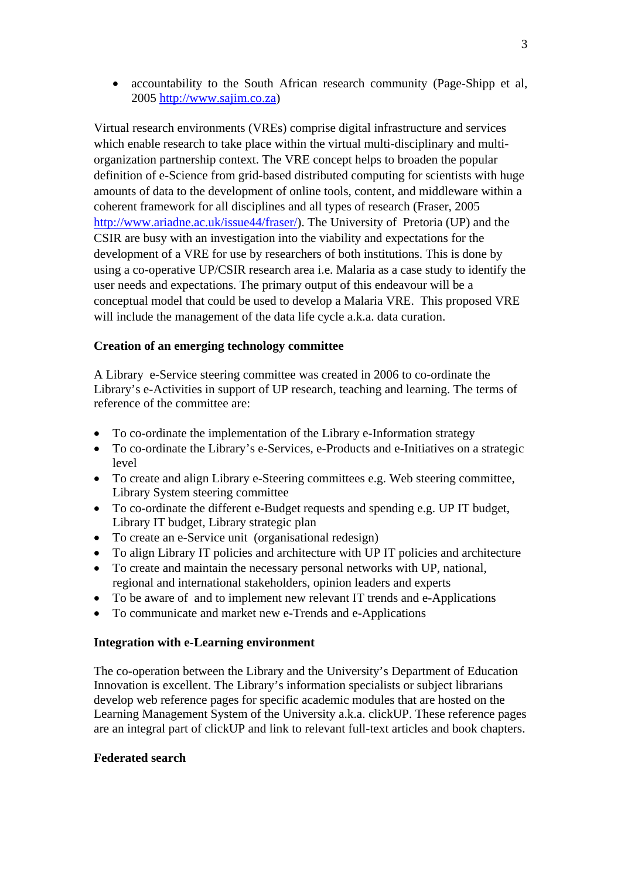• accountability to the South African research community (Page-Shipp et al, 2005 [http://www.sajim.co.za\)](http://www.sajim.co.za/)

Virtual research environments (VREs) comprise digital infrastructure and services which enable research to take place within the virtual multi-disciplinary and multiorganization partnership context. The VRE concept helps to broaden the popular definition of e-Science from grid-based distributed computing for scientists with huge amounts of data to the development of online tools, content, and middleware within a coherent framework for all disciplines and all types of research (Fraser, 2005 [http://www.ariadne.ac.uk/issue44/fraser/\)](http://www.ariadne.ac.uk/issue44/fraser/). The University of Pretoria (UP) and the CSIR are busy with an investigation into the viability and expectations for the development of a VRE for use by researchers of both institutions. This is done by using a co-operative UP/CSIR research area i.e. Malaria as a case study to identify the user needs and expectations. The primary output of this endeavour will be a conceptual model that could be used to develop a Malaria VRE. This proposed VRE will include the management of the data life cycle a.k.a. data curation.

# **Creation of an emerging technology committee**

A Library e-Service steering committee was created in 2006 to co-ordinate the Library's e-Activities in support of UP research, teaching and learning. The terms of reference of the committee are:

- To co-ordinate the implementation of the Library e-Information strategy
- To co-ordinate the Library's e-Services, e-Products and e-Initiatives on a strategic level
- To create and align Library e-Steering committees e.g. Web steering committee, Library System steering committee
- To co-ordinate the different e-Budget requests and spending e.g. UP IT budget, Library IT budget, Library strategic plan
- To create an e-Service unit (organisational redesign)
- To align Library IT policies and architecture with UP IT policies and architecture
- To create and maintain the necessary personal networks with UP, national, regional and international stakeholders, opinion leaders and experts
- To be aware of and to implement new relevant IT trends and e-Applications
- To communicate and market new e-Trends and e-Applications

## **Integration with e-Learning environment**

The co-operation between the Library and the University's Department of Education Innovation is excellent. The Library's information specialists or subject librarians develop web reference pages for specific academic modules that are hosted on the Learning Management System of the University a.k.a. clickUP. These reference pages are an integral part of clickUP and link to relevant full-text articles and book chapters.

## **Federated search**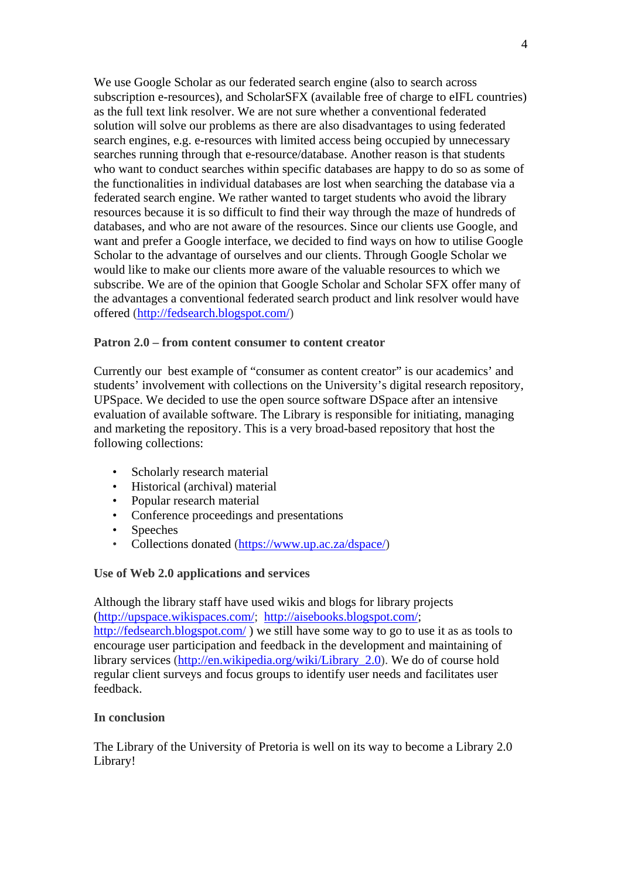We use Google Scholar as our federated search engine (also to search across subscription e-resources), and ScholarSFX (available free of charge to eIFL countries) as the full text link resolver. We are not sure whether a conventional federated solution will solve our problems as there are also disadvantages to using federated search engines, e.g. e-resources with limited access being occupied by unnecessary searches running through that e-resource/database. Another reason is that students who want to conduct searches within specific databases are happy to do so as some of the functionalities in individual databases are lost when searching the database via a federated search engine. We rather wanted to target students who avoid the library resources because it is so difficult to find their way through the maze of hundreds of databases, and who are not aware of the resources. Since our clients use Google, and want and prefer a Google interface, we decided to find ways on how to utilise Google Scholar to the advantage of ourselves and our clients. Through Google Scholar we would like to make our clients more aware of the valuable resources to which we subscribe. We are of the opinion that Google Scholar and Scholar SFX offer many of the advantages a conventional federated search product and link resolver would have offered (<http://fedsearch.blogspot.com/>)

#### **Patron 2.0 – from content consumer to content creator**

Currently our best example of "consumer as content creator" is our academics' and students' involvement with collections on the University's digital research repository, UPSpace. We decided to use the open source software DSpace after an intensive evaluation of available software. The Library is responsible for initiating, managing and marketing the repository. This is a very broad-based repository that host the following collections:

- Scholarly research material
- Historical (archival) material
- Popular research material
- Conference proceedings and presentations
- **Speeches**
- Collections donated ([https://www.up.ac.za/dspace/\)](https://www.up.ac.za/dspace/)

## **Use of Web 2.0 applications and services**

Although the library staff have used wikis and blogs for library projects ([http://upspace.wikispaces.com/;](http://upspace.wikispaces.com/) [http://aisebooks.blogspot.com/;](http://aisebooks.blogspot.com/) <http://fedsearch.blogspot.com/>) we still have some way to go to use it as as tools to encourage user participation and feedback in the development and maintaining of library services (http://en.wikipedia.org/wiki/Library 2.0). We do of course hold regular client surveys and focus groups to identify user needs and facilitates user feedback.

## **In conclusion**

The Library of the University of Pretoria is well on its way to become a Library 2.0 Library!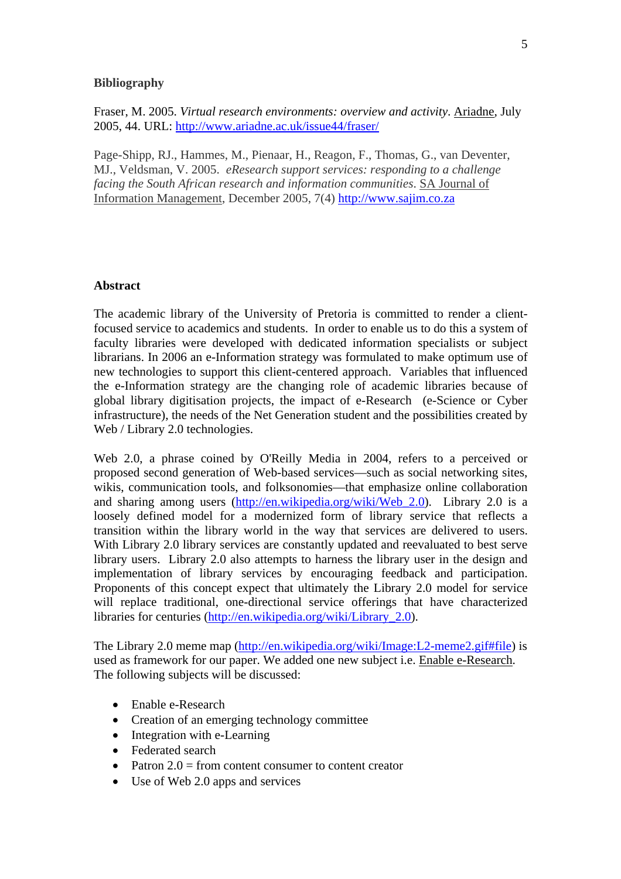#### **Bibliography**

Fraser, M. 2005. *Virtual research environments: overview and activity*. Ariadne, July 2005, 44. URL:<http://www.ariadne.ac.uk/issue44/fraser/>

Page-Shipp, RJ., Hammes, M., Pienaar, H., Reagon, F., Thomas, G., van Deventer, MJ., Veldsman, V. 2005. *eResearch support services: responding to a challenge facing the South African research and information communities*. SA Journal of Information Management, December 2005, 7(4) [http://www.sajim.co.za](http://www.sajim.co.za/) 

#### **Abstract**

The academic library of the University of Pretoria is committed to render a clientfocused service to academics and students. In order to enable us to do this a system of faculty libraries were developed with dedicated information specialists or subject librarians. In 2006 an e-Information strategy was formulated to make optimum use of new technologies to support this client-centered approach. Variables that influenced the e-Information strategy are the changing role of academic libraries because of global library digitisation projects, the impact of e-Research (e-Science or Cyber infrastructure), the needs of the Net Generation student and the possibilities created by Web / Library 2.0 technologies.

Web 2.0, a phrase coined by O'Reilly Media in 2004, refers to a perceived or proposed second generation of Web-based services—such as social networking sites, wikis, communication tools, and folksonomies—that emphasize online collaboration and sharing among users ([http://en.wikipedia.org/wiki/Web\\_2.0\)](http://en.wikipedia.org/wiki/Web_2.0). Library 2.0 is a loosely defined model for a modernized form of library service that reflects a transition within the library world in the way that services are delivered to users. With Library 2.0 library services are constantly updated and reevaluated to best serve library users. Library 2.0 also attempts to harness the library user in the design and implementation of library services by encouraging feedback and participation. Proponents of this concept expect that ultimately the Library 2.0 model for service will replace traditional, one-directional service offerings that have characterized libraries for centuries [\(http://en.wikipedia.org/wiki/Library\\_2.0\)](http://en.wikipedia.org/wiki/Library_2.0).

The Library 2.0 meme map [\(http://en.wikipedia.org/wiki/Image:L2-meme2.gif#file](http://en.wikipedia.org/wiki/Image:L2-meme2.gif#file)) is used as framework for our paper. We added one new subject i.e. Enable e-Research. The following subjects will be discussed:

- Enable e-Research
- Creation of an emerging technology committee
- Integration with e-Learning
- Federated search
- Patron  $2.0$  = from content consumer to content creator
- Use of Web 2.0 apps and services